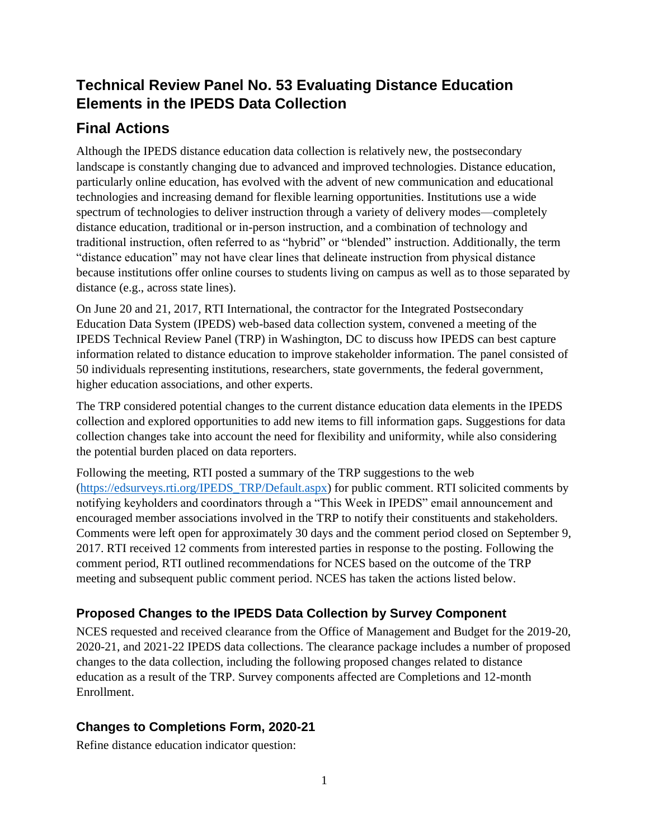# **Technical Review Panel No. 53 Evaluating Distance Education Elements in the IPEDS Data Collection**

## **Final Actions**

Although the IPEDS distance education data collection is relatively new, the postsecondary landscape is constantly changing due to advanced and improved technologies. Distance education, particularly online education, has evolved with the advent of new communication and educational technologies and increasing demand for flexible learning opportunities. Institutions use a wide spectrum of technologies to deliver instruction through a variety of delivery modes—completely distance education, traditional or in-person instruction, and a combination of technology and traditional instruction, often referred to as "hybrid" or "blended" instruction. Additionally, the term "distance education" may not have clear lines that delineate instruction from physical distance because institutions offer online courses to students living on campus as well as to those separated by distance (e.g., across state lines).

On June 20 and 21, 2017, RTI International, the contractor for the Integrated Postsecondary Education Data System (IPEDS) web-based data collection system, convened a meeting of the IPEDS Technical Review Panel (TRP) in Washington, DC to discuss how IPEDS can best capture information related to distance education to improve stakeholder information. The panel consisted of 50 individuals representing institutions, researchers, state governments, the federal government, higher education associations, and other experts.

The TRP considered potential changes to the current distance education data elements in the IPEDS collection and explored opportunities to add new items to fill information gaps. Suggestions for data collection changes take into account the need for flexibility and uniformity, while also considering the potential burden placed on data reporters.

Following the meeting, RTI posted a summary of the TRP suggestions to the web [\(https://edsurveys.rti.org/IPEDS\\_TRP/Default.aspx\)](https://edsurveys.rti.org/IPEDS_TRP/Default.aspx) for public comment. RTI solicited comments by notifying keyholders and coordinators through a "This Week in IPEDS" email announcement and encouraged member associations involved in the TRP to notify their constituents and stakeholders. Comments were left open for approximately 30 days and the comment period closed on September 9, 2017. RTI received 12 comments from interested parties in response to the posting. Following the comment period, RTI outlined recommendations for NCES based on the outcome of the TRP meeting and subsequent public comment period. NCES has taken the actions listed below.

### **Proposed Changes to the IPEDS Data Collection by Survey Component**

NCES requested and received clearance from the Office of Management and Budget for the 2019-20, 2020-21, and 2021-22 IPEDS data collections. The clearance package includes a number of proposed changes to the data collection, including the following proposed changes related to distance education as a result of the TRP. Survey components affected are Completions and 12-month Enrollment.

### **Changes to Completions Form, 2020-21**

Refine distance education indicator question: